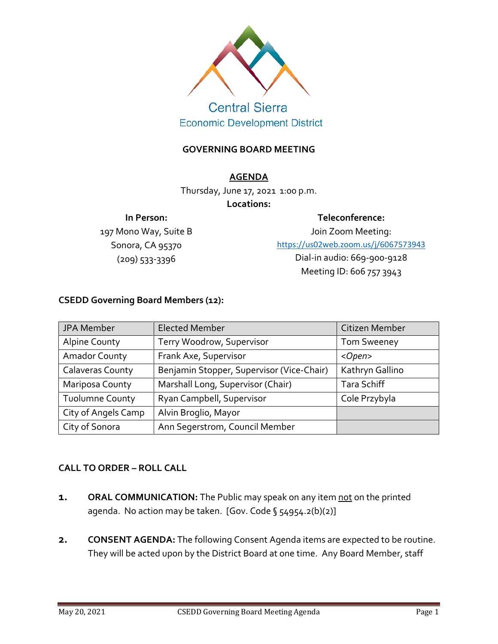

# **Central Sierra Economic Development District**

### **GOVERNING BOARD MEETING**

#### **AGENDA**

Thursday, June 17, 2021 1:00 p.m.

#### **Locations:**

#### **In Person:**

197 Mono Way, Suite B Sonora, CA 95370 (209) 533-3396

**Teleconference:**

Join Zoom Meeting: <https://us02web.zoom.us/j/6067573943> Dial-in audio: 669-900-9128 Meeting ID: 606 757 3943

## **CSEDD Governing Board Members (12):**

| JPA Member              | <b>Elected Member</b>                     | Citizen Member     |
|-------------------------|-------------------------------------------|--------------------|
| <b>Alpine County</b>    | Terry Woodrow, Supervisor                 | <b>Tom Sweeney</b> |
| <b>Amador County</b>    | Frank Axe, Supervisor                     | <open></open>      |
| <b>Calaveras County</b> | Benjamin Stopper, Supervisor (Vice-Chair) | Kathryn Gallino    |
| Mariposa County         | Marshall Long, Supervisor (Chair)         | Tara Schiff        |
| <b>Tuolumne County</b>  | Ryan Campbell, Supervisor                 | Cole Przybyla      |
| City of Angels Camp     | Alvin Broglio, Mayor                      |                    |
| City of Sonora          | Ann Segerstrom, Council Member            |                    |

#### **CALL TO ORDER – ROLL CALL**

- **1. ORAL COMMUNICATION:** The Public may speak on any item not on the printed agenda. No action may be taken. [Gov. Code § 54954.2(b)(2)]
- **2. CONSENT AGENDA:** The following Consent Agenda items are expected to be routine. They will be acted upon by the District Board at one time. Any Board Member, staff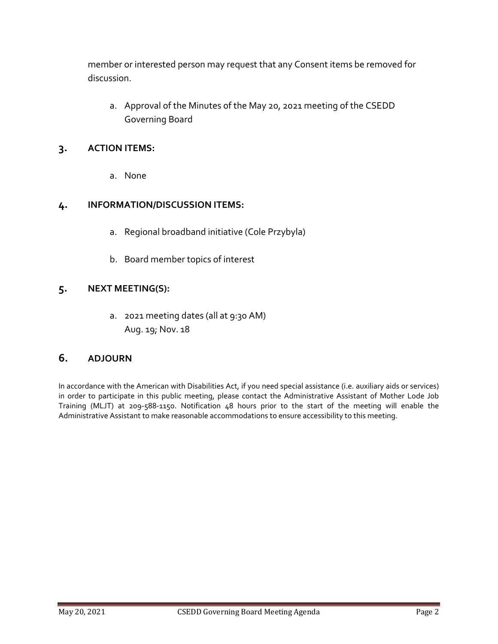member or interested person may request that any Consent items be removed for discussion.

a. Approval of the Minutes of the May 20, 2021 meeting of the CSEDD Governing Board

## **3. ACTION ITEMS:**

a. None

## **4. INFORMATION/DISCUSSION ITEMS:**

- a. Regional broadband initiative (Cole Przybyla)
- b. Board member topics of interest

## **5. NEXT MEETING(S):**

a. 2021 meeting dates (all at 9:30 AM) Aug. 19; Nov. 18

#### **6. ADJOURN**

In accordance with the American with Disabilities Act, if you need special assistance (i.e. auxiliary aids or services) in order to participate in this public meeting, please contact the Administrative Assistant of Mother Lode Job Training (MLJT) at 209-588-1150. Notification 48 hours prior to the start of the meeting will enable the Administrative Assistant to make reasonable accommodations to ensure accessibility to this meeting.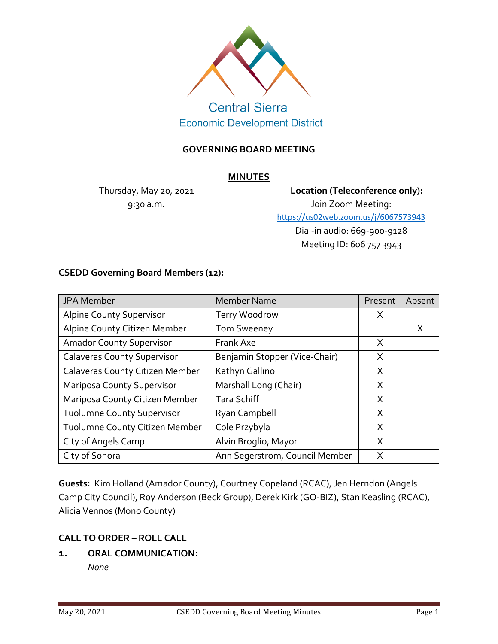

**Economic Development District** 

#### **GOVERNING BOARD MEETING**

#### **MINUTES**

Thursday, May 20, 2021 9:30 a.m.

**Location (Teleconference only):** Join Zoom Meeting: <https://us02web.zoom.us/j/6067573943> Dial-in audio: 669-900-9128 Meeting ID: 606 757 3943

#### **CSEDD Governing Board Members (12):**

| JPA Member                         | <b>Member Name</b>             | Present | Absent |
|------------------------------------|--------------------------------|---------|--------|
| <b>Alpine County Supervisor</b>    | Terry Woodrow                  | X       |        |
| Alpine County Citizen Member       | <b>Tom Sweeney</b>             |         | X      |
| <b>Amador County Supervisor</b>    | Frank Axe                      | X       |        |
| <b>Calaveras County Supervisor</b> | Benjamin Stopper (Vice-Chair)  | X       |        |
| Calaveras County Citizen Member    | Kathyn Gallino                 | X       |        |
| <b>Mariposa County Supervisor</b>  | Marshall Long (Chair)          | X       |        |
| Mariposa County Citizen Member     | <b>Tara Schiff</b>             | X       |        |
| <b>Tuolumne County Supervisor</b>  | Ryan Campbell                  | X       |        |
| Tuolumne County Citizen Member     | Cole Przybyla                  | X       |        |
| City of Angels Camp                | Alvin Broglio, Mayor           | X       |        |
| City of Sonora                     | Ann Segerstrom, Council Member | X       |        |

**Guests:** Kim Holland (Amador County), Courtney Copeland (RCAC), Jen Herndon (Angels Camp City Council), Roy Anderson (Beck Group), Derek Kirk (GO-BIZ), Stan Keasling (RCAC), Alicia Vennos (Mono County)

#### **CALL TO ORDER – ROLL CALL**

**1. ORAL COMMUNICATION:** 

*None*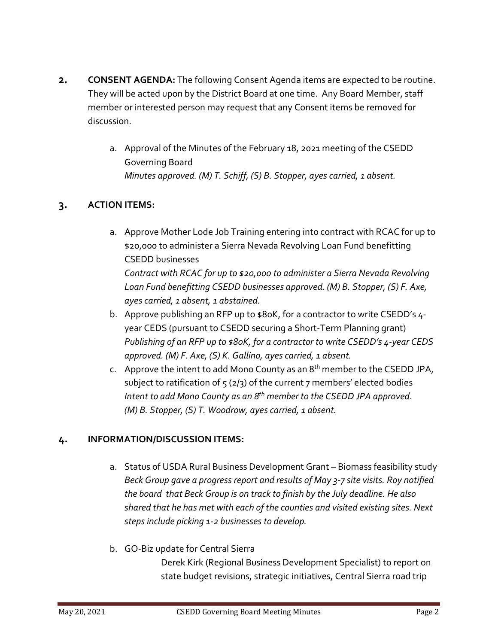- **2. CONSENT AGENDA:** The following Consent Agenda items are expected to be routine. They will be acted upon by the District Board at one time. Any Board Member, staff member or interested person may request that any Consent items be removed for discussion.
	- a. Approval of the Minutes of the February 18, 2021 meeting of the CSEDD Governing Board *Minutes approved. (M) T. Schiff, (S) B. Stopper, ayes carried, 1 absent.*

## **3. ACTION ITEMS:**

- a. Approve Mother Lode Job Training entering into contract with RCAC for up to \$20,000 to administer a Sierra Nevada Revolving Loan Fund benefitting CSEDD businesses *Contract with RCAC for up to \$20,000 to administer a Sierra Nevada Revolving Loan Fund benefitting CSEDD businesses approved. (M) B. Stopper, (S) F. Axe, ayes carried, 1 absent, 1 abstained.*
- b. Approve publishing an RFP up to  $$80K$ , for a contractor to write CSEDD's 4year CEDS (pursuant to CSEDD securing a Short-Term Planning grant) *Publishing of an RFP up to \$80K, for a contractor to write CSEDD's 4-year CEDS approved. (M) F. Axe, (S) K. Gallino, ayes carried, 1 absent.*
- c. Approve the intent to add Mono County as an  $8<sup>th</sup>$  member to the CSEDD JPA, subject to ratification of  $5$  (2/3) of the current 7 members' elected bodies *Intent to add Mono County as an 8th member to the CSEDD JPA approved. (M) B. Stopper, (S) T. Woodrow, ayes carried, 1 absent.*

## **4. INFORMATION/DISCUSSION ITEMS:**

- a. Status of USDA Rural Business Development Grant Biomass feasibility study *Beck Group gave a progress report and results of May 3-7 site visits. Roy notified the board that Beck Group is on track to finish by the July deadline. He also shared that he has met with each of the counties and visited existing sites. Next steps include picking 1-2 businesses to develop.*
- b. GO-Biz update for Central Sierra Derek Kirk (Regional Business Development Specialist) to report on state budget revisions, strategic initiatives, Central Sierra road trip